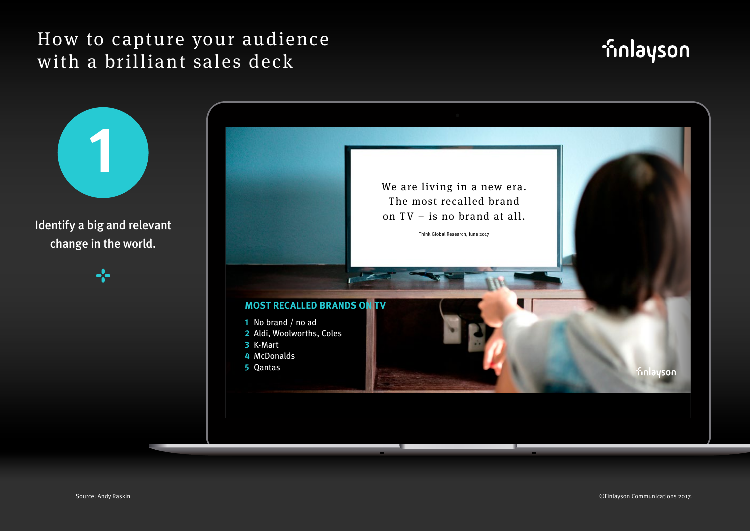# finlayson

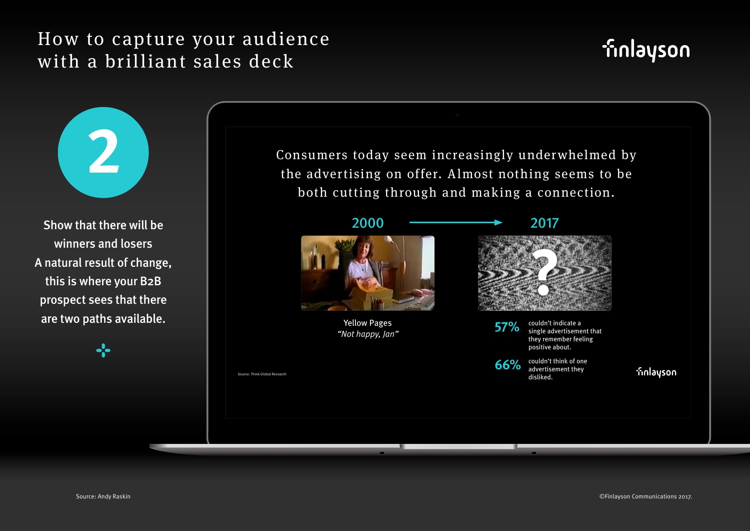

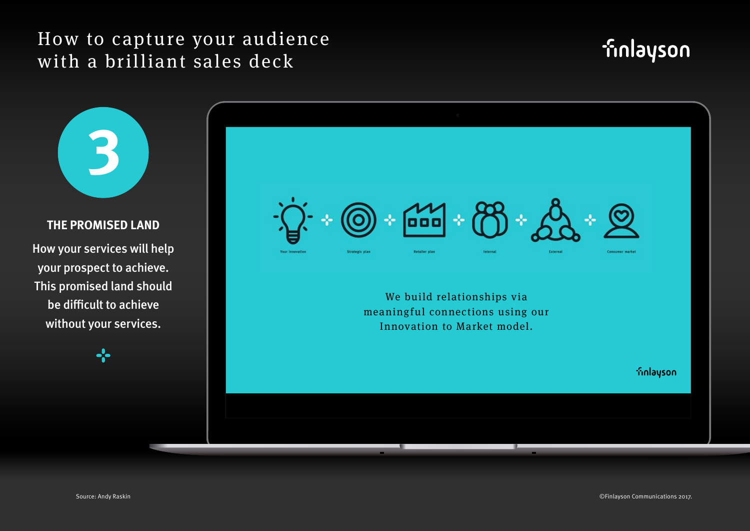# **finlayson**

**3 THE PROMISED LAND** How your services will help your prospect to achieve. This promised land should be difficult to achieve without your services.

 $\frac{1}{2}$ 

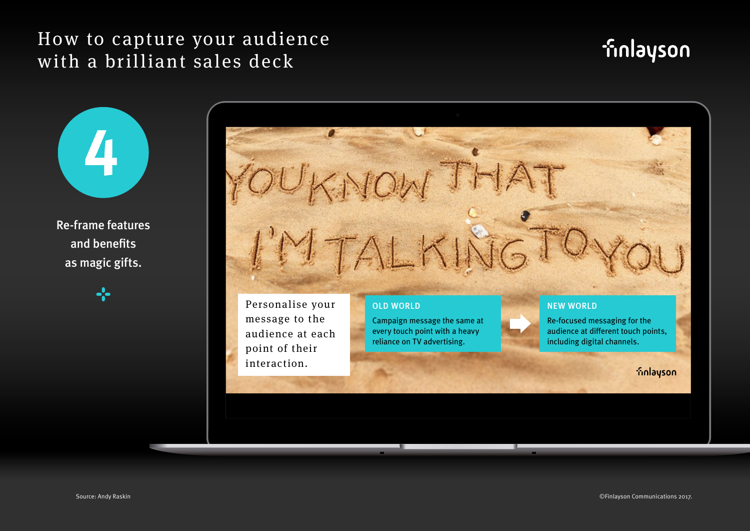# **finlayson**

**4** Re-frame features

and benefits as magic gifts.



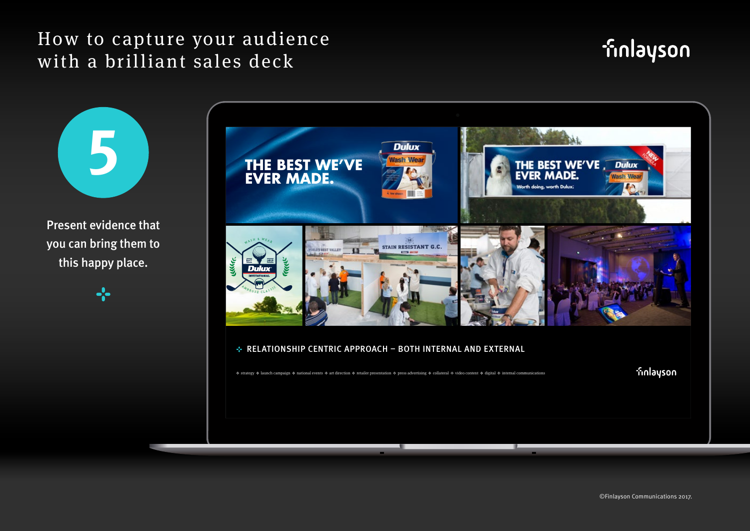## finlayson

**5** Present evidence that you can bring them to this happy place.



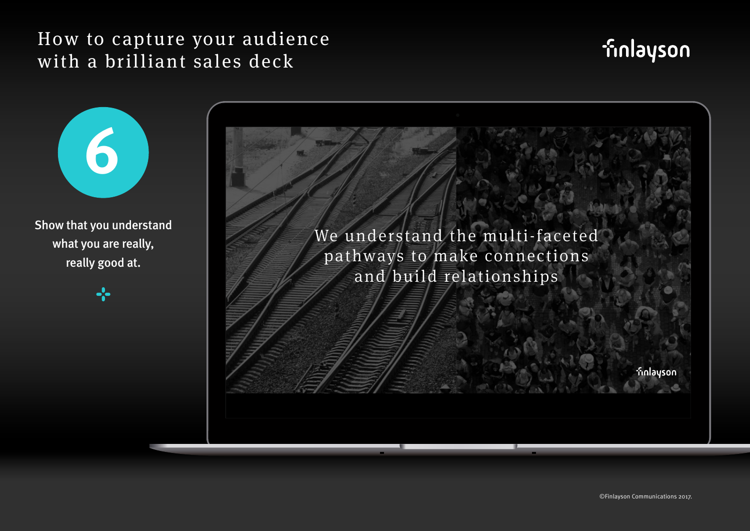**6**

what you are really,

really good at.

-2

# **finlayson**

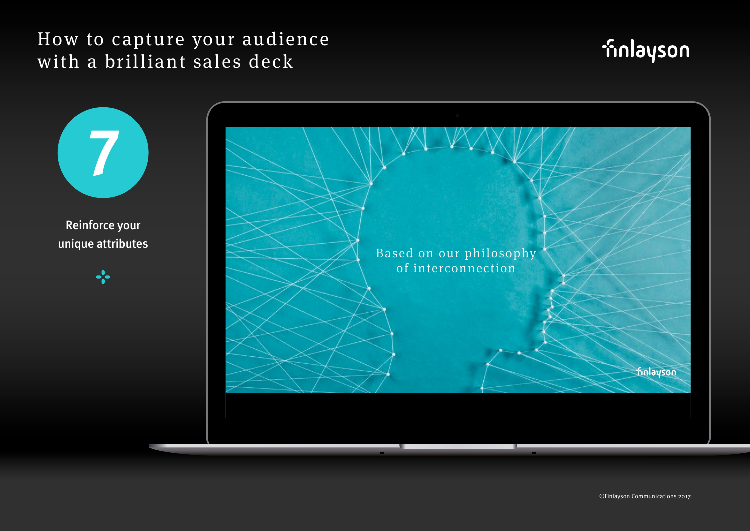# **finlayson**



©Finlayson Communications 2017.